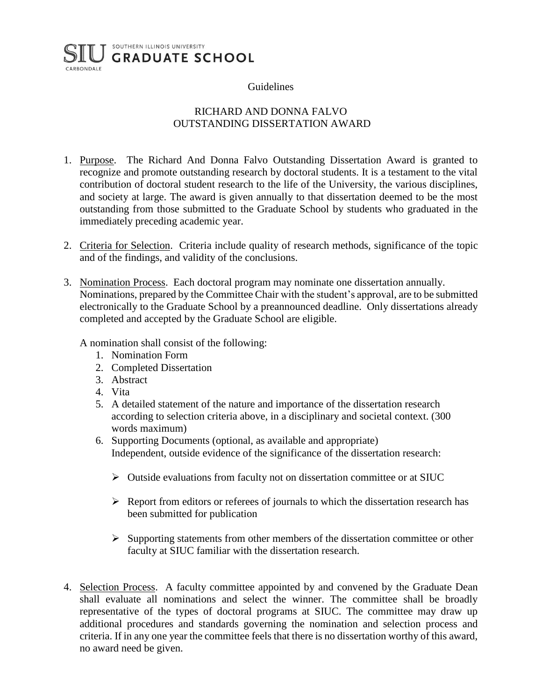## SOUTHERN ILLINOIS UNIVERSITY **GRADUATE SCHOOL** CARBONDALE

## Guidelines

## RICHARD AND DONNA FALVO OUTSTANDING DISSERTATION AWARD

- 1. Purpose. The Richard And Donna Falvo Outstanding Dissertation Award is granted to recognize and promote outstanding research by doctoral students. It is a testament to the vital contribution of doctoral student research to the life of the University, the various disciplines, and society at large. The award is given annually to that dissertation deemed to be the most outstanding from those submitted to the Graduate School by students who graduated in the immediately preceding academic year.
- 2. Criteria for Selection. Criteria include quality of research methods, significance of the topic and of the findings, and validity of the conclusions.
- 3. Nomination Process. Each doctoral program may nominate one dissertation annually. Nominations, prepared by the Committee Chair with the student's approval, are to be submitted electronically to the Graduate School by a preannounced deadline. Only dissertations already completed and accepted by the Graduate School are eligible.

A nomination shall consist of the following:

- 1. Nomination Form
- 2. Completed Dissertation
- 3. Abstract
- 4. Vita
- 5. A detailed statement of the nature and importance of the dissertation research according to selection criteria above, in a disciplinary and societal context. (300 words maximum)
- 6. Supporting Documents (optional, as available and appropriate) Independent, outside evidence of the significance of the dissertation research:
	- $\triangleright$  Outside evaluations from faculty not on dissertation committee or at SIUC
	- $\triangleright$  Report from editors or referees of journals to which the dissertation research has been submitted for publication
	- ➢ Supporting statements from other members of the dissertation committee or other faculty at SIUC familiar with the dissertation research.
- 4. Selection Process. A faculty committee appointed by and convened by the Graduate Dean shall evaluate all nominations and select the winner. The committee shall be broadly representative of the types of doctoral programs at SIUC. The committee may draw up additional procedures and standards governing the nomination and selection process and criteria. If in any one year the committee feels that there is no dissertation worthy of this award, no award need be given.